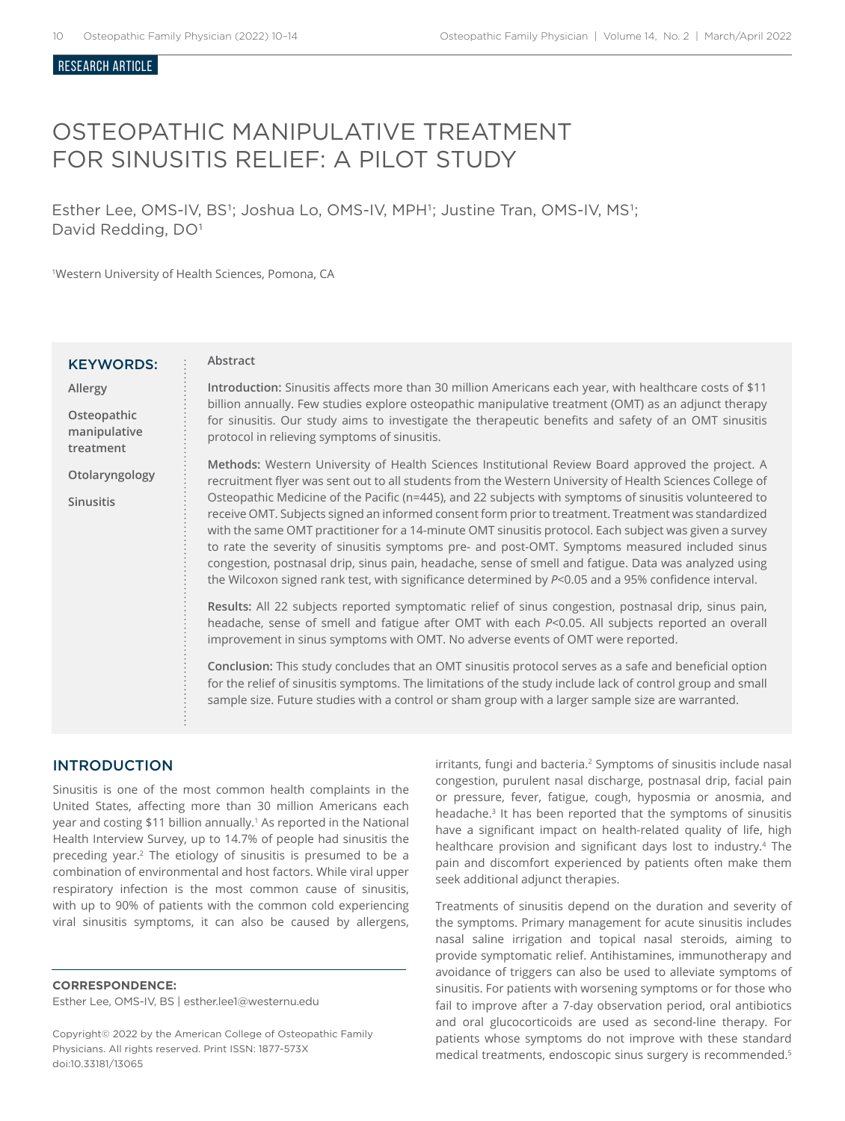#### ReSEARCH ARTICLE

# OSTEOPATHIC MANIPULATIVE TREATMENT FOR SINUSITIS RELIEF: A PILOT STUDY

Esther Lee, OMS-IV, BS<sup>1</sup>; Joshua Lo, OMS-IV, MPH<sup>1</sup>; Justine Tran, OMS-IV, MS<sup>1</sup>; David Redding, DO<sup>1</sup>

<sup>1</sup>Western University of Health Sciences, Pomona, CA

| <b>KEYWORDS:</b>                         | Abstract                                                                                                                                                                                                                                                                                                                                                                                                                                                                                                                                                                                                                                    |  |  |
|------------------------------------------|---------------------------------------------------------------------------------------------------------------------------------------------------------------------------------------------------------------------------------------------------------------------------------------------------------------------------------------------------------------------------------------------------------------------------------------------------------------------------------------------------------------------------------------------------------------------------------------------------------------------------------------------|--|--|
| Allergy                                  | Introduction: Sinusitis affects more than 30 million Americans each year, with healthcare costs of \$11<br>billion annually. Few studies explore osteopathic manipulative treatment (OMT) as an adjunct therapy<br>for sinusitis. Our study aims to investigate the therapeutic benefits and safety of an OMT sinusitis<br>protocol in relieving symptoms of sinusitis.                                                                                                                                                                                                                                                                     |  |  |
| Osteopathic<br>manipulative<br>treatment |                                                                                                                                                                                                                                                                                                                                                                                                                                                                                                                                                                                                                                             |  |  |
| Otolaryngology                           | Methods: Western University of Health Sciences Institutional Review Board approved the project. A<br>recruitment flyer was sent out to all students from the Western University of Health Sciences College of                                                                                                                                                                                                                                                                                                                                                                                                                               |  |  |
| <b>Sinusitis</b>                         | Osteopathic Medicine of the Pacific (n=445), and 22 subjects with symptoms of sinusitis volunteered to<br>receive OMT. Subjects signed an informed consent form prior to treatment. Treatment was standardized<br>with the same OMT practitioner for a 14-minute OMT sinusitis protocol. Each subject was given a survey<br>to rate the severity of sinusitis symptoms pre- and post-OMT. Symptoms measured included sinus<br>congestion, postnasal drip, sinus pain, headache, sense of smell and fatigue. Data was analyzed using<br>the Wilcoxon signed rank test, with significance determined by P<0.05 and a 95% confidence interval. |  |  |
|                                          | Results: All 22 subjects reported symptomatic relief of sinus congestion, postnasal drip, sinus pain,<br>headache, sense of smell and fatigue after OMT with each P<0.05. All subjects reported an overall<br>improvement in sinus symptoms with OMT. No adverse events of OMT were reported.                                                                                                                                                                                                                                                                                                                                               |  |  |
|                                          | Conclusion: This study concludes that an OMT sinusitis protocol serves as a safe and beneficial option<br>for the relief of sinusitis symptoms. The limitations of the study include lack of control group and small<br>sample size. Future studies with a control or sham group with a larger sample size are warranted.                                                                                                                                                                                                                                                                                                                   |  |  |

## INTRODUCTION

Sinusitis is one of the most common health complaints in the United States, affecting more than 30 million Americans each year and costing \$11 billion annually.<sup>1</sup> As reported in the National Health Interview Survey, up to 14.7% of people had sinusitis the preceding year.2 The etiology of sinusitis is presumed to be a combination of environmental and host factors. While viral upper respiratory infection is the most common cause of sinusitis, with up to 90% of patients with the common cold experiencing viral sinusitis symptoms, it can also be caused by allergens,

## **CORRESPONDENCE:**

Esther Lee, OMS-IV, BS | esther.lee1@westernu.edu

Copyright© 2022 by the American College of Osteopathic Family Physicians. All rights reserved. Print ISSN: 1877-573X doi:10.33181/13065

irritants, fungi and bacteria.<sup>2</sup> Symptoms of sinusitis include nasal congestion, purulent nasal discharge, postnasal drip, facial pain or pressure, fever, fatigue, cough, hyposmia or anosmia, and headache.<sup>3</sup> It has been reported that the symptoms of sinusitis have a significant impact on health-related quality of life, high healthcare provision and significant days lost to industry.<sup>4</sup> The pain and discomfort experienced by patients often make them seek additional adjunct therapies.

Treatments of sinusitis depend on the duration and severity of the symptoms. Primary management for acute sinusitis includes nasal saline irrigation and topical nasal steroids, aiming to provide symptomatic relief. Antihistamines, immunotherapy and avoidance of triggers can also be used to alleviate symptoms of sinusitis. For patients with worsening symptoms or for those who fail to improve after a 7-day observation period, oral antibiotics and oral glucocorticoids are used as second-line therapy. For patients whose symptoms do not improve with these standard medical treatments, endoscopic sinus surgery is recommended.5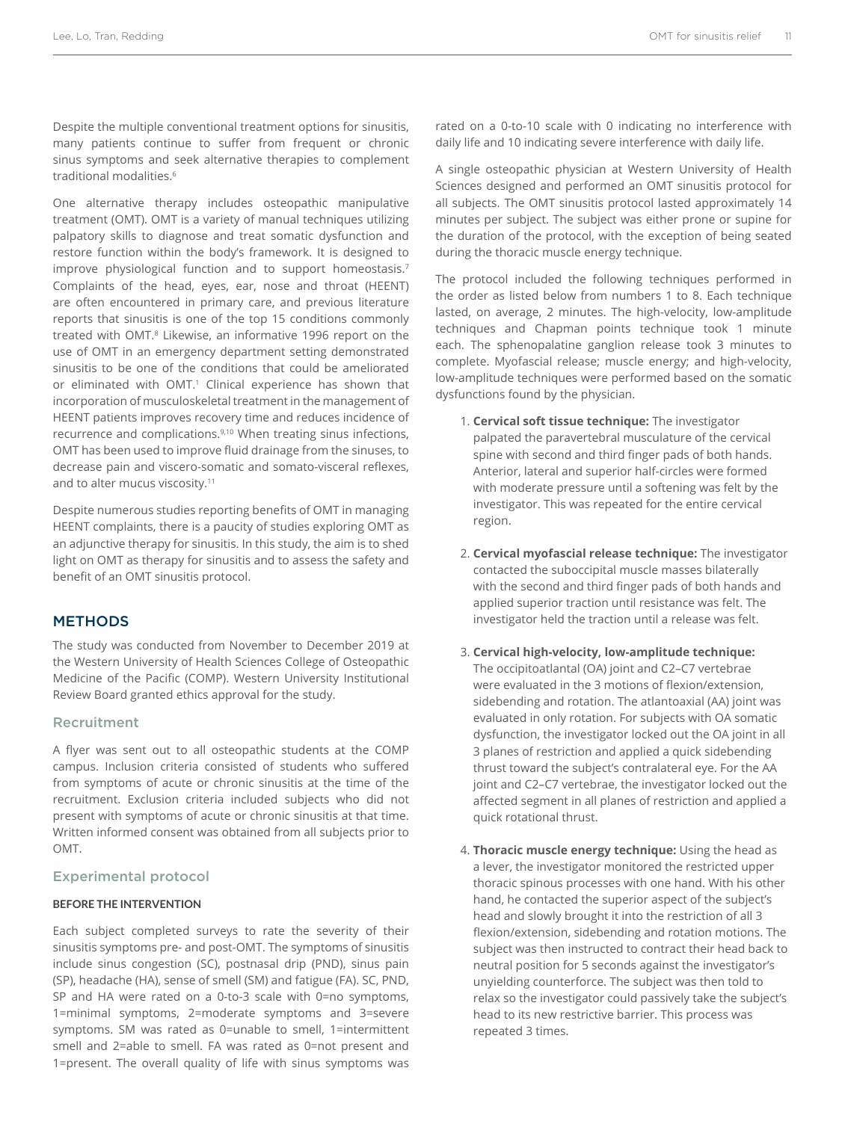Despite the multiple conventional treatment options for sinusitis, many patients continue to suffer from frequent or chronic sinus symptoms and seek alternative therapies to complement traditional modalities.<sup>6</sup>

One alternative therapy includes osteopathic manipulative treatment (OMT). OMT is a variety of manual techniques utilizing palpatory skills to diagnose and treat somatic dysfunction and restore function within the body's framework. It is designed to improve physiological function and to support homeostasis.<sup>7</sup> Complaints of the head, eyes, ear, nose and throat (HEENT) are often encountered in primary care, and previous literature reports that sinusitis is one of the top 15 conditions commonly treated with OMT.8 Likewise, an informative 1996 report on the use of OMT in an emergency department setting demonstrated sinusitis to be one of the conditions that could be ameliorated or eliminated with OMT.<sup>1</sup> Clinical experience has shown that incorporation of musculoskeletal treatment in the management of HEENT patients improves recovery time and reduces incidence of recurrence and complications.<sup>9,10</sup> When treating sinus infections, OMT has been used to improve fluid drainage from the sinuses, to decrease pain and viscero-somatic and somato-visceral reflexes, and to alter mucus viscosity.<sup>11</sup>

Despite numerous studies reporting benefits of OMT in managing HEENT complaints, there is a paucity of studies exploring OMT as an adjunctive therapy for sinusitis. In this study, the aim is to shed light on OMT as therapy for sinusitis and to assess the safety and benefit of an OMT sinusitis protocol.

## **METHODS**

The study was conducted from November to December 2019 at the Western University of Health Sciences College of Osteopathic Medicine of the Pacific (COMP). Western University Institutional Review Board granted ethics approval for the study.

## Recruitment

A flyer was sent out to all osteopathic students at the COMP campus. Inclusion criteria consisted of students who suffered from symptoms of acute or chronic sinusitis at the time of the recruitment. Exclusion criteria included subjects who did not present with symptoms of acute or chronic sinusitis at that time. Written informed consent was obtained from all subjects prior to OMT.

#### Experimental protocol

#### **BEFORE THE INTERVENTION**

Each subject completed surveys to rate the severity of their sinusitis symptoms pre- and post-OMT. The symptoms of sinusitis include sinus congestion (SC), postnasal drip (PND), sinus pain (SP), headache (HA), sense of smell (SM) and fatigue (FA). SC, PND, SP and HA were rated on a 0-to-3 scale with 0=no symptoms, 1=minimal symptoms, 2=moderate symptoms and 3=severe symptoms. SM was rated as 0=unable to smell, 1=intermittent smell and 2=able to smell. FA was rated as 0=not present and 1=present. The overall quality of life with sinus symptoms was

rated on a 0-to-10 scale with 0 indicating no interference with daily life and 10 indicating severe interference with daily life.

A single osteopathic physician at Western University of Health Sciences designed and performed an OMT sinusitis protocol for all subjects. The OMT sinusitis protocol lasted approximately 14 minutes per subject. The subject was either prone or supine for the duration of the protocol, with the exception of being seated during the thoracic muscle energy technique.

The protocol included the following techniques performed in the order as listed below from numbers 1 to 8. Each technique lasted, on average, 2 minutes. The high-velocity, low-amplitude techniques and Chapman points technique took 1 minute each. The sphenopalatine ganglion release took 3 minutes to complete. Myofascial release; muscle energy; and high-velocity, low-amplitude techniques were performed based on the somatic dysfunctions found by the physician.

- 1. **Cervical soft tissue technique:** The investigator palpated the paravertebral musculature of the cervical spine with second and third finger pads of both hands. Anterior, lateral and superior half-circles were formed with moderate pressure until a softening was felt by the investigator. This was repeated for the entire cervical region.
- 2. **Cervical myofascial release technique:** The investigator contacted the suboccipital muscle masses bilaterally with the second and third finger pads of both hands and applied superior traction until resistance was felt. The investigator held the traction until a release was felt.
- 3. **Cervical high-velocity, low-amplitude technique:** The occipitoatlantal (OA) joint and C2–C7 vertebrae were evaluated in the 3 motions of flexion/extension, sidebending and rotation. The atlantoaxial (AA) joint was evaluated in only rotation. For subjects with OA somatic dysfunction, the investigator locked out the OA joint in all 3 planes of restriction and applied a quick sidebending thrust toward the subject's contralateral eye. For the AA joint and C2–C7 vertebrae, the investigator locked out the affected segment in all planes of restriction and applied a quick rotational thrust.
- 4. **Thoracic muscle energy technique:** Using the head as a lever, the investigator monitored the restricted upper thoracic spinous processes with one hand. With his other hand, he contacted the superior aspect of the subject's head and slowly brought it into the restriction of all 3 flexion/extension, sidebending and rotation motions. The subject was then instructed to contract their head back to neutral position for 5 seconds against the investigator's unyielding counterforce. The subject was then told to relax so the investigator could passively take the subject's head to its new restrictive barrier. This process was repeated 3 times.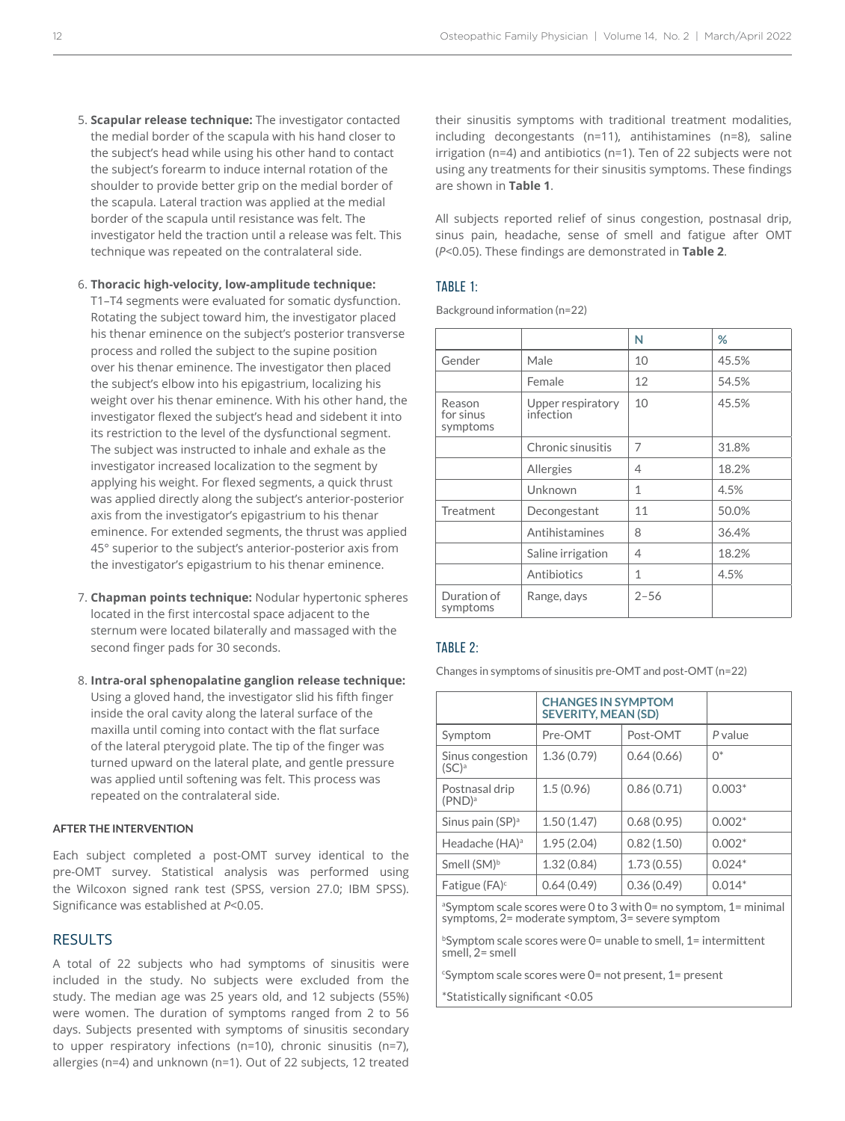- 5. **Scapular release technique:** The investigator contacted the medial border of the scapula with his hand closer to the subject's head while using his other hand to contact the subject's forearm to induce internal rotation of the shoulder to provide better grip on the medial border of the scapula. Lateral traction was applied at the medial border of the scapula until resistance was felt. The investigator held the traction until a release was felt. This technique was repeated on the contralateral side.
- 6. **Thoracic high-velocity, low-amplitude technique:** T1–T4 segments were evaluated for somatic dysfunction. Rotating the subject toward him, the investigator placed his thenar eminence on the subject's posterior transverse process and rolled the subject to the supine position over his thenar eminence. The investigator then placed the subject's elbow into his epigastrium, localizing his weight over his thenar eminence. With his other hand, the investigator flexed the subject's head and sidebent it into its restriction to the level of the dysfunctional segment. The subject was instructed to inhale and exhale as the investigator increased localization to the segment by applying his weight. For flexed segments, a quick thrust was applied directly along the subject's anterior-posterior axis from the investigator's epigastrium to his thenar eminence. For extended segments, the thrust was applied 45° superior to the subject's anterior-posterior axis from the investigator's epigastrium to his thenar eminence.
- 7. **Chapman points technique:** Nodular hypertonic spheres located in the first intercostal space adjacent to the sternum were located bilaterally and massaged with the second finger pads for 30 seconds.
- 8. **Intra-oral sphenopalatine ganglion release technique:** Using a gloved hand, the investigator slid his fifth finger inside the oral cavity along the lateral surface of the maxilla until coming into contact with the flat surface of the lateral pterygoid plate. The tip of the finger was turned upward on the lateral plate, and gentle pressure was applied until softening was felt. This process was repeated on the contralateral side.

#### **AFTER THE INTERVENTION**

Each subject completed a post-OMT survey identical to the pre-OMT survey. Statistical analysis was performed using the Wilcoxon signed rank test (SPSS, version 27.0; IBM SPSS). Significance was established at *P*<0.05.

## RESULTS

A total of 22 subjects who had symptoms of sinusitis were included in the study. No subjects were excluded from the study. The median age was 25 years old, and 12 subjects (55%) were women. The duration of symptoms ranged from 2 to 56 days. Subjects presented with symptoms of sinusitis secondary to upper respiratory infections (n=10), chronic sinusitis (n=7), allergies (n=4) and unknown (n=1). Out of 22 subjects, 12 treated

their sinusitis symptoms with traditional treatment modalities, including decongestants (n=11), antihistamines (n=8), saline irrigation (n=4) and antibiotics (n=1). Ten of 22 subjects were not using any treatments for their sinusitis symptoms. These findings are shown in **Table 1**.

All subjects reported relief of sinus congestion, postnasal drip, sinus pain, headache, sense of smell and fatigue after OMT (*P*<0.05). These findings are demonstrated in **Table 2**.

#### TABLE 1:

Background information (n=22)

|                                 |                                | N            | %     |
|---------------------------------|--------------------------------|--------------|-------|
| Gender                          | Male                           | 10           | 45.5% |
|                                 | Female                         | 12           | 54.5% |
| Reason<br>for sinus<br>symptoms | Upper respiratory<br>infection | 10           | 45.5% |
|                                 | Chronic sinusitis              | 7            | 31.8% |
|                                 | Allergies                      | 4            | 18.2% |
|                                 | Unknown                        | $\mathbf{1}$ | 4.5%  |
| Treatment                       | Decongestant                   | 11           | 50.0% |
|                                 | Antihistamines                 | 8            | 36.4% |
|                                 | Saline irrigation              | 4            | 18.2% |
|                                 | Antibiotics                    | 1            | 4.5%  |
| Duration of<br>symptoms         | Range, days                    | $2 - 56$     |       |

#### TABLE 2:

Changes in symptoms of sinusitis pre-OMT and post-OMT (n=22)

|                                      | <b>CHANGES IN SYMPTOM</b><br><b>SEVERITY, MEAN (SD)</b> |            |             |
|--------------------------------------|---------------------------------------------------------|------------|-------------|
| Symptom                              | Pre-OMT                                                 | Post-OMT   | P value     |
| Sinus congestion<br>$(SC)^a$         | 1.36(0.79)                                              | 0.64(0.66) | $\bigcap^*$ |
| Postnasal drip<br>(PND) <sup>a</sup> | 1.5(0.96)                                               | 0.86(0.71) | $0.003*$    |
| Sinus pain $(SP)^a$                  | 1.50(1.47)                                              | 0.68(0.95) | $0.002*$    |
| Headache (HA) <sup>a</sup>           | 1.95(2.04)                                              | 0.82(1.50) | $0.002*$    |
| Smell (SM) <sup>b</sup>              | 1.32(0.84)                                              | 1.73(0.55) | $0.024*$    |
| Fatigue $(FA)^c$                     | 0.64(0.49)                                              | 0.36(0.49) | $0.014*$    |
|                                      |                                                         |            |             |

a Symptom scale scores were 0 to 3 with 0= no symptom, 1= minimal symptoms, 2= moderate symptom, 3= severe symptom

<sup>b</sup>Symptom scale scores were 0= unable to smell, 1= intermittent smell, 2= smell

c Symptom scale scores were 0= not present, 1= present

\*Statistically significant <0.05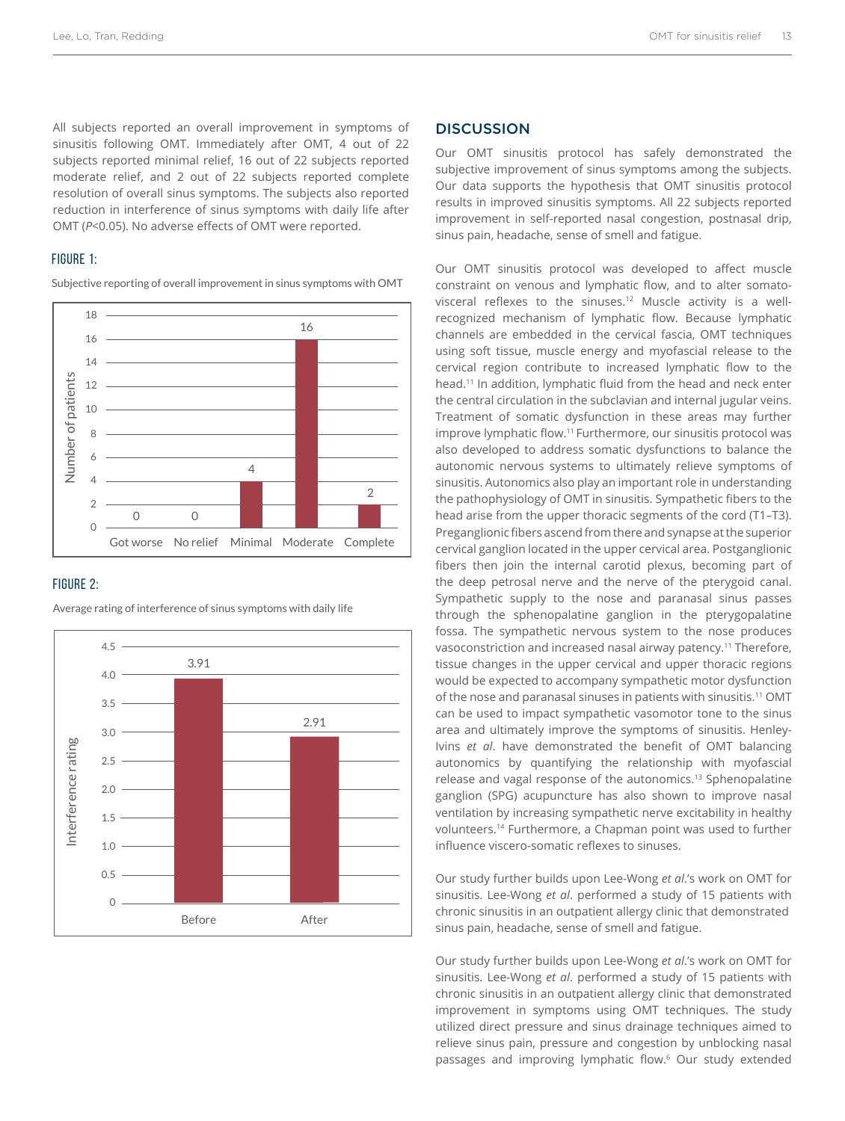All subjects reported an overall improvement in symptoms of sinusitis following OMT. Immediately after OMT, 4 out of 22 subjects reported minimal relief, 16 out of 22 subjects reported moderate relief, and 2 out of 22 subjects reported complete resolution of overall sinus symptoms. The subjects also reported reduction in interference of sinus symptoms with daily life after OMT (*P*<0.05). No adverse effects of OMT were reported.

## FIGURE 1:

Subjective reporting of overall improvement in sinus symptoms with OMT



## FIGURE 2:



Average rating of interference of sinus symptoms with daily life

## **DISCUSSION**

Our OMT sinusitis protocol has safely demonstrated the subjective improvement of sinus symptoms among the subjects. Our data supports the hypothesis that OMT sinusitis protocol results in improved sinusitis symptoms. All 22 subjects reported improvement in self-reported nasal congestion, postnasal drip, sinus pain, headache, sense of smell and fatigue.

Our OMT sinusitis protocol was developed to affect muscle constraint on venous and lymphatic flow, and to alter somatovisceral reflexes to the sinuses.<sup>12</sup> Muscle activity is a wellrecognized mechanism of lymphatic flow. Because lymphatic channels are embedded in the cervical fascia, OMT techniques using soft tissue, muscle energy and myofascial release to the cervical region contribute to increased lymphatic flow to the head.11 In addition, lymphatic fluid from the head and neck enter the central circulation in the subclavian and internal jugular veins. Treatment of somatic dysfunction in these areas may further improve lymphatic flow.<sup>11</sup> Furthermore, our sinusitis protocol was also developed to address somatic dysfunctions to balance the autonomic nervous systems to ultimately relieve symptoms of sinusitis. Autonomics also play an important role in understanding the pathophysiology of OMT in sinusitis. Sympathetic fibers to the head arise from the upper thoracic segments of the cord (T1–T3). Preganglionic fibers ascend from there and synapse at the superior cervical ganglion located in the upper cervical area. Postganglionic fibers then join the internal carotid plexus, becoming part of the deep petrosal nerve and the nerve of the pterygoid canal. Sympathetic supply to the nose and paranasal sinus passes through the sphenopalatine ganglion in the pterygopalatine fossa. The sympathetic nervous system to the nose produces vasoconstriction and increased nasal airway patency.11 Therefore, tissue changes in the upper cervical and upper thoracic regions would be expected to accompany sympathetic motor dysfunction of the nose and paranasal sinuses in patients with sinusitis.11 OMT can be used to impact sympathetic vasomotor tone to the sinus area and ultimately improve the symptoms of sinusitis. Henley-Ivins *et al*. have demonstrated the benefit of OMT balancing autonomics by quantifying the relationship with myofascial release and vagal response of the autonomics.13 Sphenopalatine ganglion (SPG) acupuncture has also shown to improve nasal ventilation by increasing sympathetic nerve excitability in healthy volunteers.14 Furthermore, a Chapman point was used to further influence viscero-somatic reflexes to sinuses.

Our study further builds upon Lee-Wong *et al*.'s work on OMT for sinusitis. Lee-Wong *et al*. performed a study of 15 patients with chronic sinusitis in an outpatient allergy clinic that demonstrated sinus pain, headache, sense of smell and fatigue.

Our study further builds upon Lee-Wong *et al*.'s work on OMT for sinusitis. Lee-Wong *et al*. performed a study of 15 patients with chronic sinusitis in an outpatient allergy clinic that demonstrated improvement in symptoms using OMT techniques. The study utilized direct pressure and sinus drainage techniques aimed to relieve sinus pain, pressure and congestion by unblocking nasal passages and improving lymphatic flow.6 Our study extended